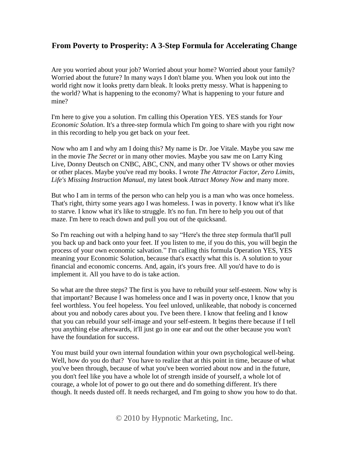## **From Poverty to Prosperity: A 3-Step Formula for Accelerating Change**

Are you worried about your job? Worried about your home? Worried about your family? Worried about the future? In many ways I don't blame you. When you look out into the world right now it looks pretty darn bleak. It looks pretty messy. What is happening to the world? What is happening to the economy? What is happening to your future and mine?

I'm here to give you a solution. I'm calling this Operation YES. YES stands for *Your Economic Solution*. It's a three-step formula which I'm going to share with you right now in this recording to help you get back on your feet.

Now who am I and why am I doing this? My name is Dr. Joe Vitale. Maybe you saw me in the movie *The Secret* or in many other movies. Maybe you saw me on Larry King Live, Donny Deutsch on CNBC, ABC, CNN, and many other TV shows or other movies or other places. Maybe you've read my books. I wrote *The Attractor Factor*, *Zero Limits*, *Life's Missing Instruction Manual*, my latest book *Attract Money Now* and many more.

But who I am in terms of the person who can help you is a man who was once homeless. That's right, thirty some years ago I was homeless. I was in poverty. I know what it's like to starve. I know what it's like to struggle. It's no fun. I'm here to help you out of that maze. I'm here to reach down and pull you out of the quicksand.

So I'm reaching out with a helping hand to say "Here's the three step formula that'll pull you back up and back onto your feet. If you listen to me, if you do this, you will begin the process of your own economic salvation." I'm calling this formula Operation YES, YES meaning your Economic Solution, because that's exactly what this is. A solution to your financial and economic concerns. And, again, it's yours free. All you'd have to do is implement it. All you have to do is take action.

So what are the three steps? The first is you have to rebuild your self-esteem. Now why is that important? Because I was homeless once and I was in poverty once, I know that you feel worthless. You feel hopeless. You feel unloved, unlikeable, that nobody is concerned about you and nobody cares about you. I've been there. I know that feeling and I know that you can rebuild your self-image and your self-esteem. It begins there because if I tell you anything else afterwards, it'll just go in one ear and out the other because you won't have the foundation for success.

You must build your own internal foundation within your own psychological well-being. Well, how do you do that? You have to realize that at this point in time, because of what you've been through, because of what you've been worried about now and in the future, you don't feel like you have a whole lot of strength inside of yourself, a whole lot of courage, a whole lot of power to go out there and do something different. It's there though. It needs dusted off. It needs recharged, and I'm going to show you how to do that.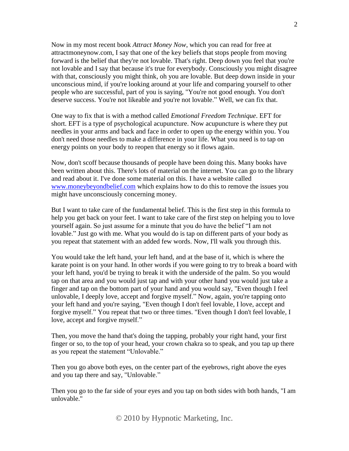Now in my most recent book *Attract Money Now*, which you can read for free at attractmoneynow.com, I say that one of the key beliefs that stops people from moving forward is the belief that they're not lovable. That's right. Deep down you feel that you're not lovable and I say that because it's true for everybody. Consciously you might disagree with that, consciously you might think, oh you are lovable. But deep down inside in your unconscious mind, if you're looking around at your life and comparing yourself to other people who are successful, part of you is saying, "You're not good enough. You don't deserve success. You're not likeable and you're not lovable." Well, we can fix that.

One way to fix that is with a method called *Emotional Freedom Technique*. EFT for short. EFT is a type of psychological acupuncture. Now acupuncture is where they put needles in your arms and back and face in order to open up the energy within you. You don't need those needles to make a difference in your life. What you need is to tap on energy points on your body to reopen that energy so it flows again.

Now, don't scoff because thousands of people have been doing this. Many books have been written about this. There's lots of material on the internet. You can go to the library and read about it. I've done some material on this. I have a website called www.moneybeyondbelief.com which explains how to do this to remove the issues you might have unconsciously concerning money.

But I want to take care of the fundamental belief. This is the first step in this formula to help you get back on your feet. I want to take care of the first step on helping you to love yourself again. So just assume for a minute that you do have the belief "I am not lovable." Just go with me. What you would do is tap on different parts of your body as you repeat that statement with an added few words. Now, I'll walk you through this.

You would take the left hand, your left hand, and at the base of it, which is where the karate point is on your hand. In other words if you were going to try to break a board with your left hand, you'd be trying to break it with the underside of the palm. So you would tap on that area and you would just tap and with your other hand you would just take a finger and tap on the bottom part of your hand and you would say, "Even though I feel unlovable, I deeply love, accept and forgive myself." Now, again, you're tapping onto your left hand and you're saying, "Even though I don't feel lovable, I love, accept and forgive myself." You repeat that two or three times. "Even though I don't feel lovable, I love, accept and forgive myself."

Then, you move the hand that's doing the tapping, probably your right hand, your first finger or so, to the top of your head, your crown chakra so to speak, and you tap up there as you repeat the statement "Unlovable."

Then you go above both eyes, on the center part of the eyebrows, right above the eyes and you tap there and say, "Unlovable."

Then you go to the far side of your eyes and you tap on both sides with both hands, "I am unlovable."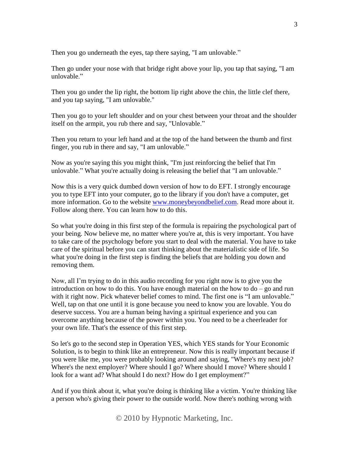Then you go underneath the eyes, tap there saying, "I am unlovable."

Then go under your nose with that bridge right above your lip, you tap that saying, "I am unlovable."

Then you go under the lip right, the bottom lip right above the chin, the little clef there, and you tap saying, "I am unlovable."

Then you go to your left shoulder and on your chest between your throat and the shoulder itself on the armpit, you rub there and say, "Unlovable."

Then you return to your left hand and at the top of the hand between the thumb and first finger, you rub in there and say, "I am unlovable."

Now as you're saying this you might think, "I'm just reinforcing the belief that I'm unlovable." What you're actually doing is releasing the belief that "I am unlovable."

Now this is a very quick dumbed down version of how to do EFT. I strongly encourage you to type EFT into your computer, go to the library if you don't have a computer, get more information. Go to the website www.moneybeyondbelief.com. Read more about it. Follow along there. You can learn how to do this.

So what you're doing in this first step of the formula is repairing the psychological part of your being. Now believe me, no matter where you're at, this is very important. You have to take care of the psychology before you start to deal with the material. You have to take care of the spiritual before you can start thinking about the materialistic side of life. So what you're doing in the first step is finding the beliefs that are holding you down and removing them.

Now, all I'm trying to do in this audio recording for you right now is to give you the introduction on how to do this. You have enough material on the how to do – go and run with it right now. Pick whatever belief comes to mind. The first one is "I am unlovable." Well, tap on that one until it is gone because you need to know you are lovable. You do deserve success. You are a human being having a spiritual experience and you can overcome anything because of the power within you. You need to be a cheerleader for your own life. That's the essence of this first step.

So let's go to the second step in Operation YES, which YES stands for Your Economic Solution, is to begin to think like an entrepreneur. Now this is really important because if you were like me, you were probably looking around and saying, "Where's my next job? Where's the next employer? Where should I go? Where should I move? Where should I look for a want ad? What should I do next? How do I get employment?"

And if you think about it, what you're doing is thinking like a victim. You're thinking like a person who's giving their power to the outside world. Now there's nothing wrong with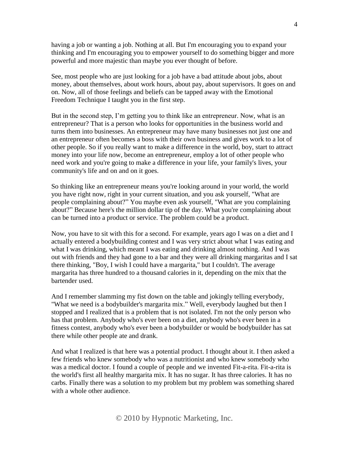having a job or wanting a job. Nothing at all. But I'm encouraging you to expand your thinking and I'm encouraging you to empower yourself to do something bigger and more powerful and more majestic than maybe you ever thought of before.

See, most people who are just looking for a job have a bad attitude about jobs, about money, about themselves, about work hours, about pay, about supervisors. It goes on and on. Now, all of those feelings and beliefs can be tapped away with the Emotional Freedom Technique I taught you in the first step.

But in the second step, I'm getting you to think like an entrepreneur. Now, what is an entrepreneur? That is a person who looks for opportunities in the business world and turns them into businesses. An entrepreneur may have many businesses not just one and an entrepreneur often becomes a boss with their own business and gives work to a lot of other people. So if you really want to make a difference in the world, boy, start to attract money into your life now, become an entrepreneur, employ a lot of other people who need work and you're going to make a difference in your life, your family's lives, your community's life and on and on it goes.

So thinking like an entrepreneur means you're looking around in your world, the world you have right now, right in your current situation, and you ask yourself, "What are people complaining about?" You maybe even ask yourself, "What are you complaining about?" Because here's the million dollar tip of the day. What you're complaining about can be turned into a product or service. The problem could be a product.

Now, you have to sit with this for a second. For example, years ago I was on a diet and I actually entered a bodybuilding contest and I was very strict about what I was eating and what I was drinking, which meant I was eating and drinking almost nothing. And I was out with friends and they had gone to a bar and they were all drinking margaritas and I sat there thinking, "Boy, I wish I could have a margarita," but I couldn't. The average margarita has three hundred to a thousand calories in it, depending on the mix that the bartender used.

And I remember slamming my fist down on the table and jokingly telling everybody, "What we need is a bodybuilder's margarita mix." Well, everybody laughed but then I stopped and I realized that is a problem that is not isolated. I'm not the only person who has that problem. Anybody who's ever been on a diet, anybody who's ever been in a fitness contest, anybody who's ever been a bodybuilder or would be bodybuilder has sat there while other people ate and drank.

And what I realized is that here was a potential product. I thought about it. I then asked a few friends who knew somebody who was a nutritionist and who knew somebody who was a medical doctor. I found a couple of people and we invented Fit-a-rita. Fit-a-rita is the world's first all healthy margarita mix. It has no sugar. It has three calories. It has no carbs. Finally there was a solution to my problem but my problem was something shared with a whole other audience.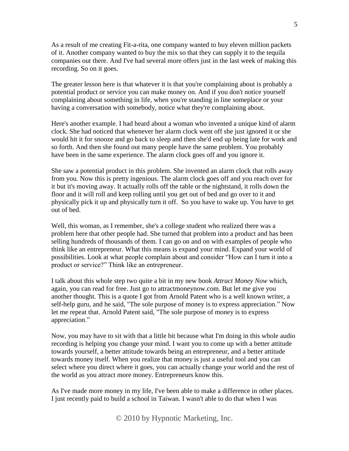As a result of me creating Fit-a-rita, one company wanted to buy eleven million packets of it. Another company wanted to buy the mix so that they can supply it to the tequila companies out there. And I've had several more offers just in the last week of making this recording. So on it goes.

The greater lesson here is that whatever it is that you're complaining about is probably a potential product or service you can make money on. And if you don't notice yourself complaining about something in life, when you're standing in line someplace or your having a conversation with somebody, notice what they're complaining about.

Here's another example. I had heard about a woman who invented a unique kind of alarm clock. She had noticed that whenever her alarm clock went off she just ignored it or she would hit it for snooze and go back to sleep and then she'd end up being late for work and so forth. And then she found out many people have the same problem. You probably have been in the same experience. The alarm clock goes off and you ignore it.

She saw a potential product in this problem. She invented an alarm clock that rolls away from you. Now this is pretty ingenious. The alarm clock goes off and you reach over for it but it's moving away. It actually rolls off the table or the nightstand, it rolls down the floor and it will roll and keep rolling until you get out of bed and go over to it and physically pick it up and physically turn it off. So you have to wake up. You have to get out of bed.

Well, this woman, as I remember, she's a college student who realized there was a problem here that other people had. She turned that problem into a product and has been selling hundreds of thousands of them. I can go on and on with examples of people who think like an entrepreneur. What this means is expand your mind. Expand your world of possibilities. Look at what people complain about and consider "How can I turn it into a product or service?" Think like an entrepreneur.

I talk about this whole step two quite a bit in my new book *Attract Money Now* which, again, you can read for free. Just go to attractmoneynow.com. But let me give you another thought. This is a quote I got from Arnold Patent who is a well known writer, a self-help guru, and he said, "The sole purpose of money is to express appreciation." Now let me repeat that. Arnold Patent said, "The sole purpose of money is to express appreciation."

Now, you may have to sit with that a little bit because what I'm doing in this whole audio recording is helping you change your mind. I want you to come up with a better attitude towards yourself, a better attitude towards being an entrepreneur, and a better attitude towards money itself. When you realize that money is just a useful tool and you can select where you direct where it goes, you can actually change your world and the rest of the world as you attract more money. Entrepreneurs know this.

As I've made more money in my life, I've been able to make a difference in other places. I just recently paid to build a school in Taiwan. I wasn't able to do that when I was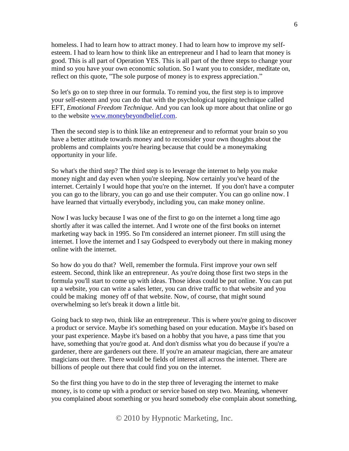homeless. I had to learn how to attract money. I had to learn how to improve my selfesteem. I had to learn how to think like an entrepreneur and I had to learn that money is good. This is all part of Operation YES. This is all part of the three steps to change your mind so you have your own economic solution. So I want you to consider, meditate on, reflect on this quote, "The sole purpose of money is to express appreciation."

So let's go on to step three in our formula. To remind you, the first step is to improve your self-esteem and you can do that with the psychological tapping technique called EFT, *Emotional Freedom Technique*. And you can look up more about that online or go to the website www.moneybeyondbelief.com.

Then the second step is to think like an entrepreneur and to reformat your brain so you have a better attitude towards money and to reconsider your own thoughts about the problems and complaints you're hearing because that could be a moneymaking opportunity in your life.

So what's the third step? The third step is to leverage the internet to help you make money night and day even when you're sleeping. Now certainly you've heard of the internet. Certainly I would hope that you're on the internet. If you don't have a computer you can go to the library, you can go and use their computer. You can go online now. I have learned that virtually everybody, including you, can make money online.

Now I was lucky because I was one of the first to go on the internet a long time ago shortly after it was called the internet. And I wrote one of the first books on internet marketing way back in 1995. So I'm considered an internet pioneer. I'm still using the internet. I love the internet and I say Godspeed to everybody out there in making money online with the internet.

So how do you do that? Well, remember the formula. First improve your own self esteem. Second, think like an entrepreneur. As you're doing those first two steps in the formula you'll start to come up with ideas. Those ideas could be put online. You can put up a website, you can write a sales letter, you can drive traffic to that website and you could be making money off of that website. Now, of course, that might sound overwhelming so let's break it down a little bit.

Going back to step two, think like an entrepreneur. This is where you're going to discover a product or service. Maybe it's something based on your education. Maybe it's based on your past experience. Maybe it's based on a hobby that you have, a pass time that you have, something that you're good at. And don't dismiss what you do because if you're a gardener, there are gardeners out there. If you're an amateur magician, there are amateur magicians out there. There would be fields of interest all across the internet. There are billions of people out there that could find you on the internet.

So the first thing you have to do in the step three of leveraging the internet to make money, is to come up with a product or service based on step two. Meaning, whenever you complained about something or you heard somebody else complain about something,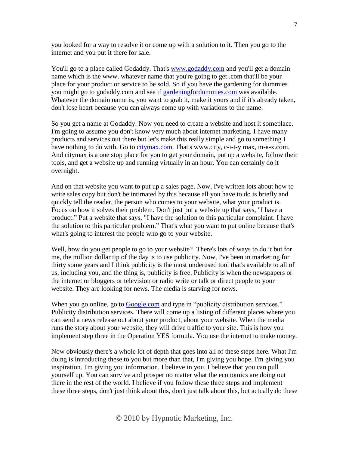you looked for a way to resolve it or come up with a solution to it. Then you go to the internet and you put it there for sale.

You'll go to a place called Godaddy. That's www.godaddy.com and you'll get a domain name which is the www. whatever name that you're going to get .com that'll be your place for your product or service to be sold. So if you have the gardening for dummies you might go to godaddy.com and see if gardeningfordummies.com was available. Whatever the domain name is, you want to grab it, make it yours and if it's already taken, don't lose heart because you can always come up with variations to the name.

So you get a name at Godaddy. Now you need to create a website and host it someplace. I'm going to assume you don't know very much about internet marketing. I have many products and services out there but let's make this really simple and go to something I have nothing to do with. Go to citymax.com. That's www.city, c-i-t-y max, m-a-x.com. And citymax is a one stop place for you to get your domain, put up a website, follow their tools, and get a website up and running virtually in an hour. You can certainly do it overnight.

And on that website you want to put up a sales page. Now, I've written lots about how to write sales copy but don't be intimated by this because all you have to do is briefly and quickly tell the reader, the person who comes to your website, what your product is. Focus on how it solves their problem. Don't just put a website up that says, "I have a product." Put a website that says, "I have the solution to this particular complaint. I have the solution to this particular problem." That's what you want to put online because that's what's going to interest the people who go to your website.

Well, how do you get people to go to your website? There's lots of ways to do it but for me, the million dollar tip of the day is to use publicity. Now, I've been in marketing for thirty some years and I think publicity is the most underused tool that's available to all of us, including you, and the thing is, publicity is free. Publicity is when the newspapers or the internet or bloggers or television or radio write or talk or direct people to your website. They are looking for news. The media is starving for news.

When you go online, go to Google.com and type in "publicity distribution services." Publicity distribution services. There will come up a listing of different places where you can send a news release out about your product, about your website. When the media runs the story about your website, they will drive traffic to your site. This is how you implement step three in the Operation YES formula. You use the internet to make money.

Now obviously there's a whole lot of depth that goes into all of these steps here. What I'm doing is introducing these to you but more than that, I'm giving you hope. I'm giving you inspiration. I'm giving you information. I believe in you. I believe that you can pull yourself up. You can survive and prosper no matter what the economics are doing out there in the rest of the world. I believe if you follow these three steps and implement these three steps, don't just think about this, don't just talk about this, but actually do these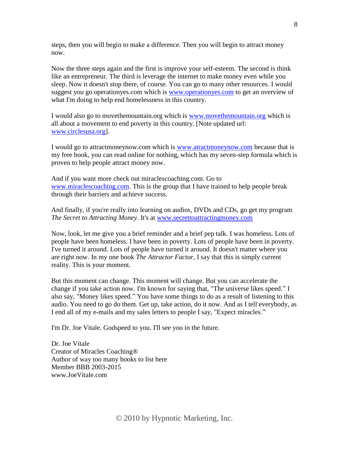steps, then you will begin to make a difference. Then you will begin to attract money now.

Now the three steps again and the first is improve your self-esteem. The second is think like an entrepreneur. The third is leverage the internet to make money even while you sleep. Now it doesn't stop there, of course. You can go to many other resources. I would suggest you go operationyes.com which is www.operationyes.com to get an overview of what I'm doing to help end homelessness in this country.

I would also go to movethemountain.org which is www.movethemountain.org which is all about a movement to end poverty in this country. [Note updated url: www.circlesusa.org].

I would go to attractmoneynow.com which is www.atractmoneynow.com because that is my free book, you can read online for nothing, which has my seven-step formula which is proven to help people attract money now.

And if you want more check out miraclescoaching.com. Go to www.miraclescoaching.com. This is the group that I have trained to help people break through their barriers and achieve success.

And finally, if you're really into learning on audios, DVDs and CDs, go get my program *The Secret to Attracting Money*. It's at www.secrettoattractingmoney.com

Now, look, let me give you a brief reminder and a brief pep talk. I was homeless. Lots of people have been homeless. I have been in poverty. Lots of people have been in poverty. I've turned it around. Lots of people have turned it around. It doesn't matter where you are right now. In my one book *The Attractor Factor,* I say that this is simply current reality. This is your moment.

But this moment can change. This moment will change. But you can accelerate the change if you take action now. I'm known for saying that, "The universe likes speed." I also say, "Money likes speed." You have some things to do as a result of listening to this audio. You need to go do them. Get up, take action, do it now. And as I tell everybody, as I end all of my e-mails and my sales letters to people I say, "Expect miracles."

I'm Dr. Joe Vitale. Godspeed to you. I'll see you in the future.

Dr. Joe Vitale Creator of Miracles Coaching® Author of way too many books to list here Member BBB 2003-2015 www.JoeVitale.com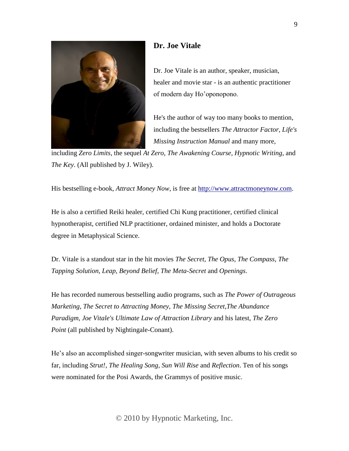

## **Dr. Joe Vitale**

Dr. Joe Vitale is an author, speaker, musician, healer and movie star - is an authentic practitioner of modern day Ho'oponopono.

He's the author of way too many books to mention, including the bestsellers *The Attractor Factor, Life's Missing Instruction Manual* and many more,

including *Zero Limits,* the sequel *At Zero*, *The Awakening Course, Hypnotic Writing*, and *The Key*. (All published by J. Wiley).

His bestselling e-book, *Attract Money Now*, is free at [http://www.attractmoneynow.com.](http://www.attractmoneynow.com/)

He is also a certified Reiki healer, certified Chi Kung practitioner, certified clinical hypnotherapist, certified NLP practitioner, ordained minister, and holds a Doctorate degree in Metaphysical Science.

Dr. Vitale is a standout star in the hit movies *The Secret*, *The Opus*, *The Compass*, *The Tapping Solution*, *Leap*, *Beyond Belief*, *The Meta-Secret* and *Openings*.

He has recorded numerous bestselling audio programs, such as *The Power of Outrageous Marketing*, *The Secret to Attracting Money*, *The Missing Secret*,*The Abundance Paradigm, Joe Vitale's Ultimate Law of Attraction Library* and his latest, *The Zero Point* (all published by Nightingale-Conant).

He's also an accomplished singer-songwriter musician, with seven albums to his credit so far, including *Strut!*, *The Healing Song*, *Sun Will Rise* and *Reflection*. Ten of his songs were nominated for the Posi Awards, the Grammys of positive music.